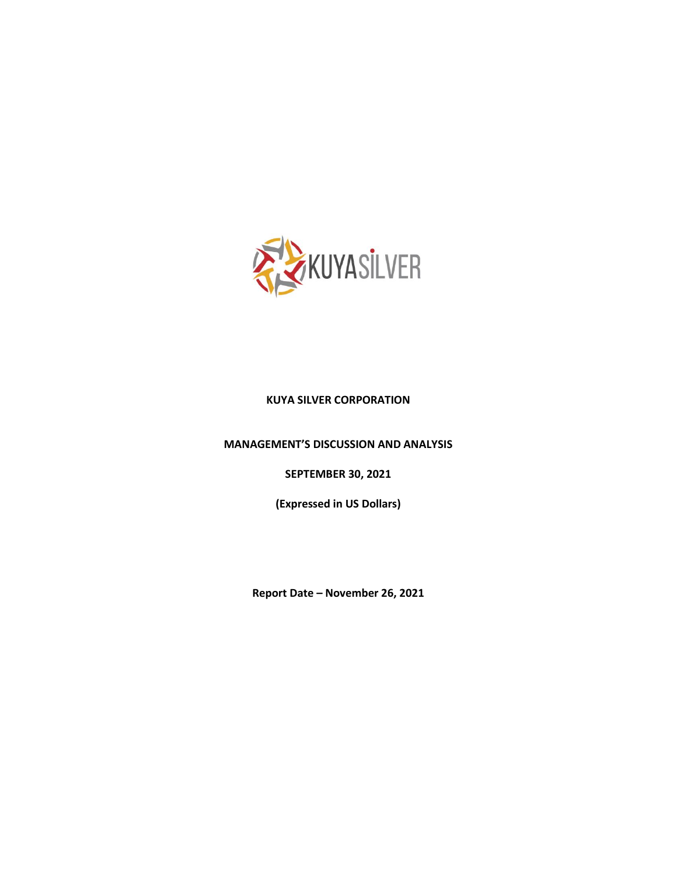

## **KUYA SILVER CORPORATION**

**MANAGEMENT'S DISCUSSION AND ANALYSIS**

**SEPTEMBER 30, 2021**

**(Expressed in US Dollars)**

**Report Date – November 26, 2021**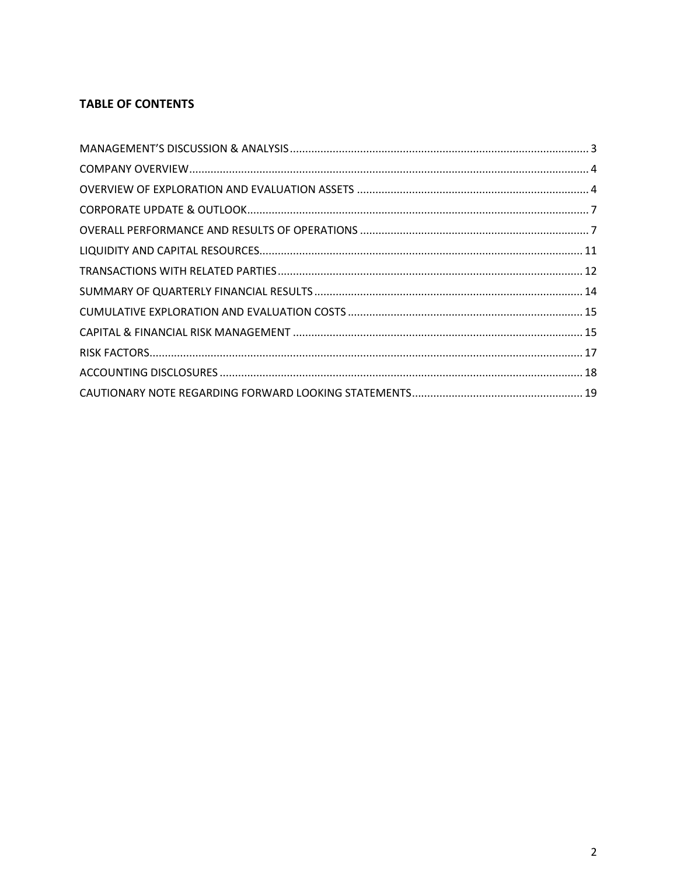# **TABLE OF CONTENTS**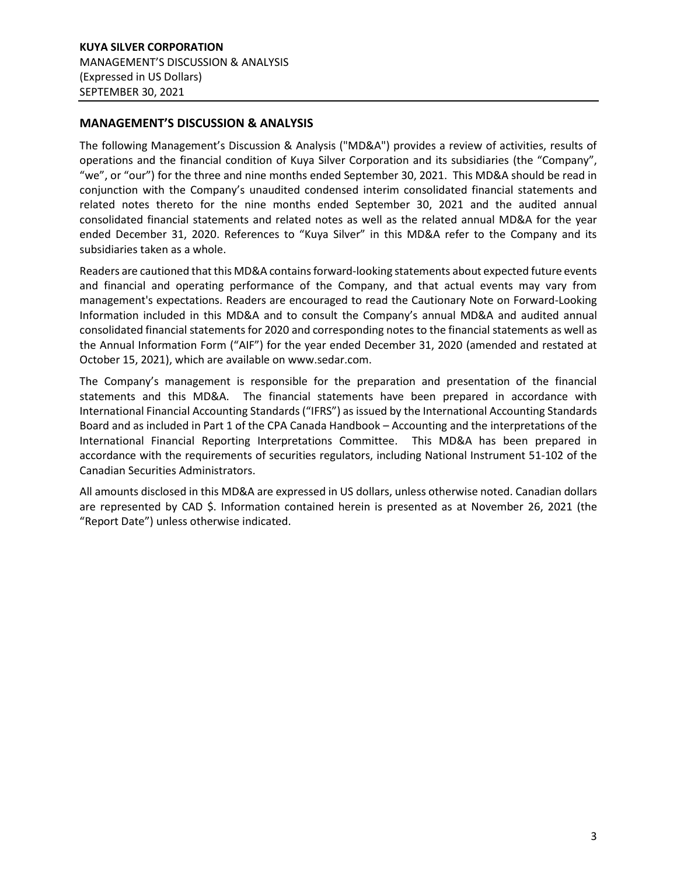# <span id="page-2-0"></span>**MANAGEMENT'S DISCUSSION & ANALYSIS**

The following Management's Discussion & Analysis ("MD&A") provides a review of activities, results of operations and the financial condition of Kuya Silver Corporation and its subsidiaries (the "Company", "we", or "our") for the three and nine months ended September 30, 2021. This MD&A should be read in conjunction with the Company's unaudited condensed interim consolidated financial statements and related notes thereto for the nine months ended September 30, 2021 and the audited annual consolidated financial statements and related notes as well as the related annual MD&A for the year ended December 31, 2020. References to "Kuya Silver" in this MD&A refer to the Company and its subsidiaries taken as a whole.

Readers are cautioned that this MD&A contains forward-looking statements about expected future events and financial and operating performance of the Company, and that actual events may vary from management's expectations. Readers are encouraged to read the Cautionary Note on Forward-Looking Information included in this MD&A and to consult the Company's annual MD&A and audited annual consolidated financial statements for 2020 and corresponding notes to the financial statements as well as the Annual Information Form ("AIF") for the year ended December 31, 2020 (amended and restated at October 15, 2021), which are available on www.sedar.com.

The Company's management is responsible for the preparation and presentation of the financial statements and this MD&A. The financial statements have been prepared in accordance with International Financial Accounting Standards ("IFRS") as issued by the International Accounting Standards Board and as included in Part 1 of the CPA Canada Handbook – Accounting and the interpretations of the International Financial Reporting Interpretations Committee. This MD&A has been prepared in accordance with the requirements of securities regulators, including National Instrument 51-102 of the Canadian Securities Administrators.

All amounts disclosed in this MD&A are expressed in US dollars, unless otherwise noted. Canadian dollars are represented by CAD \$. Information contained herein is presented as at November 26, 2021 (the "Report Date") unless otherwise indicated.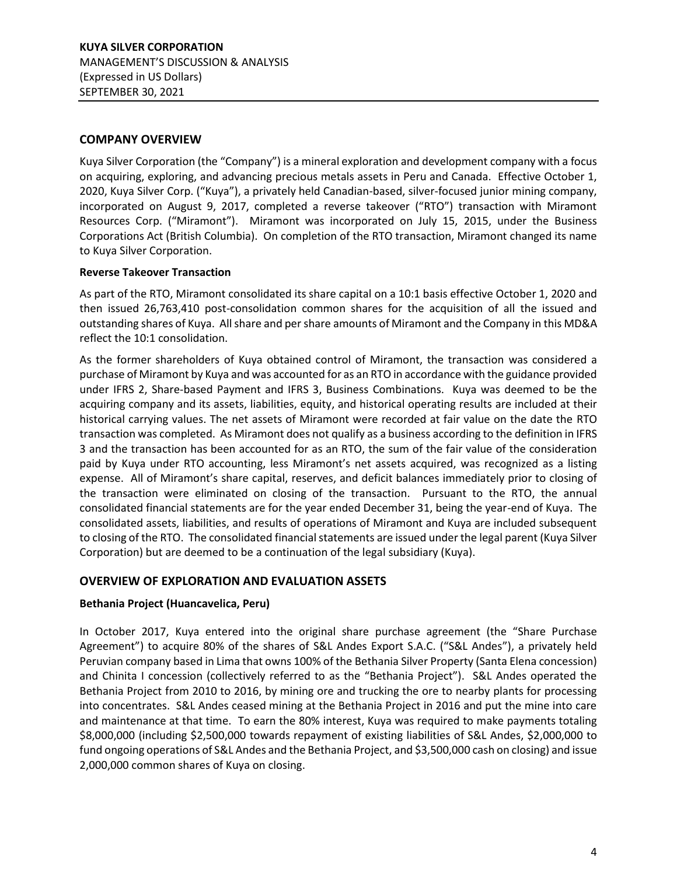# <span id="page-3-0"></span>**COMPANY OVERVIEW**

Kuya Silver Corporation (the "Company") is a mineral exploration and development company with a focus on acquiring, exploring, and advancing precious metals assets in Peru and Canada. Effective October 1, 2020, Kuya Silver Corp. ("Kuya"), a privately held Canadian-based, silver-focused junior mining company, incorporated on August 9, 2017, completed a reverse takeover ("RTO") transaction with Miramont Resources Corp. ("Miramont"). Miramont was incorporated on July 15, 2015, under the Business Corporations Act (British Columbia). On completion of the RTO transaction, Miramont changed its name to Kuya Silver Corporation.

## **Reverse Takeover Transaction**

As part of the RTO, Miramont consolidated its share capital on a 10:1 basis effective October 1, 2020 and then issued 26,763,410 post-consolidation common shares for the acquisition of all the issued and outstanding shares of Kuya. All share and per share amounts of Miramont and the Company in this MD&A reflect the 10:1 consolidation.

As the former shareholders of Kuya obtained control of Miramont, the transaction was considered a purchase of Miramont by Kuya and was accounted for as an RTO in accordance with the guidance provided under IFRS 2, Share-based Payment and IFRS 3, Business Combinations. Kuya was deemed to be the acquiring company and its assets, liabilities, equity, and historical operating results are included at their historical carrying values. The net assets of Miramont were recorded at fair value on the date the RTO transaction was completed. As Miramont does not qualify as a business according to the definition in IFRS 3 and the transaction has been accounted for as an RTO, the sum of the fair value of the consideration paid by Kuya under RTO accounting, less Miramont's net assets acquired, was recognized as a listing expense. All of Miramont's share capital, reserves, and deficit balances immediately prior to closing of the transaction were eliminated on closing of the transaction. Pursuant to the RTO, the annual consolidated financial statements are for the year ended December 31, being the year-end of Kuya. The consolidated assets, liabilities, and results of operations of Miramont and Kuya are included subsequent to closing of the RTO. The consolidated financial statements are issued under the legal parent (Kuya Silver Corporation) but are deemed to be a continuation of the legal subsidiary (Kuya).

## <span id="page-3-1"></span>**OVERVIEW OF EXPLORATION AND EVALUATION ASSETS**

## **Bethania Project (Huancavelica, Peru)**

In October 2017, Kuya entered into the original share purchase agreement (the "Share Purchase Agreement") to acquire 80% of the shares of S&L Andes Export S.A.C. ("S&L Andes"), a privately held Peruvian company based in Lima that owns 100% of the Bethania Silver Property (Santa Elena concession) and Chinita I concession (collectively referred to as the "Bethania Project"). S&L Andes operated the Bethania Project from 2010 to 2016, by mining ore and trucking the ore to nearby plants for processing into concentrates. S&L Andes ceased mining at the Bethania Project in 2016 and put the mine into care and maintenance at that time. To earn the 80% interest, Kuya was required to make payments totaling \$8,000,000 (including \$2,500,000 towards repayment of existing liabilities of S&L Andes, \$2,000,000 to fund ongoing operations of S&L Andes and the Bethania Project, and \$3,500,000 cash on closing) and issue 2,000,000 common shares of Kuya on closing.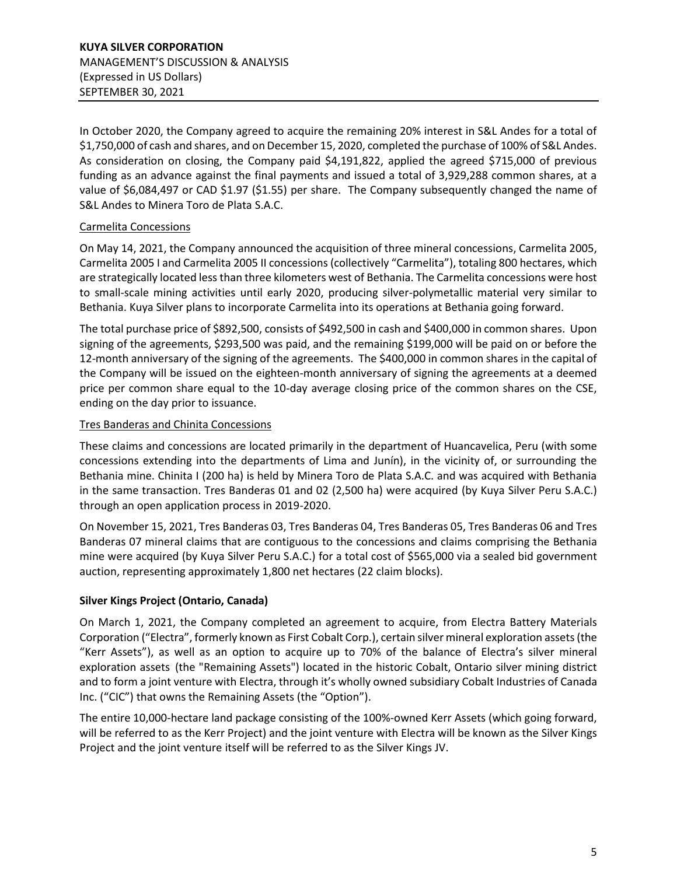In October 2020, the Company agreed to acquire the remaining 20% interest in S&L Andes for a total of \$1,750,000 of cash and shares, and on December 15, 2020, completed the purchase of 100% of S&L Andes. As consideration on closing, the Company paid \$4,191,822, applied the agreed \$715,000 of previous funding as an advance against the final payments and issued a total of 3,929,288 common shares, at a value of \$6,084,497 or CAD \$1.97 (\$1.55) per share. The Company subsequently changed the name of S&L Andes to Minera Toro de Plata S.A.C.

# Carmelita Concessions

On May 14, 2021, the Company announced the acquisition of three mineral concessions, Carmelita 2005, Carmelita 2005 I and Carmelita 2005 II concessions (collectively "Carmelita"), totaling 800 hectares, which are strategically located less than three kilometers west of Bethania. The Carmelita concessions were host to small-scale mining activities until early 2020, producing silver-polymetallic material very similar to Bethania. Kuya Silver plans to incorporate Carmelita into its operations at Bethania going forward.

The total purchase price of \$892,500, consists of \$492,500 in cash and \$400,000 in common shares. Upon signing of the agreements, \$293,500 was paid, and the remaining \$199,000 will be paid on or before the 12-month anniversary of the signing of the agreements. The \$400,000 in common shares in the capital of the Company will be issued on the eighteen-month anniversary of signing the agreements at a deemed price per common share equal to the 10-day average closing price of the common shares on the CSE, ending on the day prior to issuance.

# Tres Banderas and Chinita Concessions

These claims and concessions are located primarily in the department of Huancavelica, Peru (with some concessions extending into the departments of Lima and Junín), in the vicinity of, or surrounding the Bethania mine. Chinita I (200 ha) is held by Minera Toro de Plata S.A.C. and was acquired with Bethania in the same transaction. Tres Banderas 01 and 02 (2,500 ha) were acquired (by Kuya Silver Peru S.A.C.) through an open application process in 2019-2020.

On November 15, 2021, Tres Banderas 03, Tres Banderas 04, Tres Banderas 05, Tres Banderas 06 and Tres Banderas 07 mineral claims that are contiguous to the concessions and claims comprising the Bethania mine were acquired (by Kuya Silver Peru S.A.C.) for a total cost of \$565,000 via a sealed bid government auction, representing approximately 1,800 net hectares (22 claim blocks).

# **Silver Kings Project (Ontario, Canada)**

On March 1, 2021, the Company completed an agreement to acquire, from Electra Battery Materials Corporation ("Electra", formerly known as First Cobalt Corp.), certain silver mineral exploration assets (the "Kerr Assets"), as well as an option to acquire up to 70% of the balance of Electra's silver mineral exploration assets (the "Remaining Assets") located in the historic Cobalt, Ontario silver mining district and to form a joint venture with Electra, through it's wholly owned subsidiary Cobalt Industries of Canada Inc. ("CIC") that owns the Remaining Assets (the "Option").

The entire 10,000-hectare land package consisting of the 100%-owned Kerr Assets (which going forward, will be referred to as the Kerr Project) and the joint venture with Electra will be known as the Silver Kings Project and the joint venture itself will be referred to as the Silver Kings JV.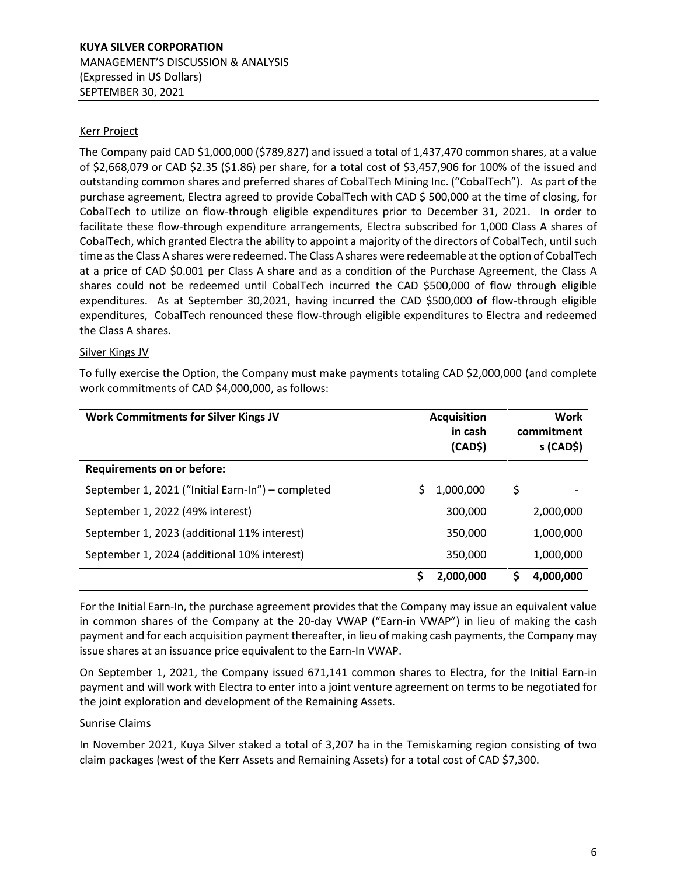## Kerr Project

The Company paid CAD \$1,000,000 (\$789,827) and issued a total of 1,437,470 common shares, at a value of \$2,668,079 or CAD \$2.35 (\$1.86) per share, for a total cost of \$3,457,906 for 100% of the issued and outstanding common shares and preferred shares of CobalTech Mining Inc. ("CobalTech"). As part of the purchase agreement, Electra agreed to provide CobalTech with CAD \$ 500,000 at the time of closing, for CobalTech to utilize on flow-through eligible expenditures prior to December 31, 2021. In order to facilitate these flow-through expenditure arrangements, Electra subscribed for 1,000 Class A shares of CobalTech, which granted Electra the ability to appoint a majority of the directors of CobalTech, until such time as the Class A shares were redeemed. The Class A shares were redeemable at the option of CobalTech at a price of CAD \$0.001 per Class A share and as a condition of the Purchase Agreement, the Class A shares could not be redeemed until CobalTech incurred the CAD \$500,000 of flow through eligible expenditures. As at September 30,2021, having incurred the CAD \$500,000 of flow-through eligible expenditures, CobalTech renounced these flow-through eligible expenditures to Electra and redeemed the Class A shares.

#### Silver Kings JV

To fully exercise the Option, the Company must make payments totaling CAD \$2,000,000 (and complete work commitments of CAD \$4,000,000, as follows:

| <b>Work Commitments for Silver Kings JV</b>       | <b>Acquisition</b><br>in cash<br>(CAD\$) | Work<br>commitment<br>$s$ (CAD\$) |
|---------------------------------------------------|------------------------------------------|-----------------------------------|
| <b>Requirements on or before:</b>                 |                                          |                                   |
| September 1, 2021 ("Initial Earn-In") – completed | 1,000,000                                | \$                                |
| September 1, 2022 (49% interest)                  | 300,000                                  | 2,000,000                         |
| September 1, 2023 (additional 11% interest)       | 350,000                                  | 1,000,000                         |
| September 1, 2024 (additional 10% interest)       | 350,000                                  | 1,000,000                         |
|                                                   | S<br>2,000,000                           | 4,000,000<br>S                    |

For the Initial Earn-In, the purchase agreement provides that the Company may issue an equivalent value in common shares of the Company at the 20-day VWAP ("Earn-in VWAP") in lieu of making the cash payment and for each acquisition payment thereafter, in lieu of making cash payments, the Company may issue shares at an issuance price equivalent to the Earn-In VWAP.

On September 1, 2021, the Company issued 671,141 common shares to Electra, for the Initial Earn-in payment and will work with Electra to enter into a joint venture agreement on terms to be negotiated for the joint exploration and development of the Remaining Assets.

#### Sunrise Claims

In November 2021, Kuya Silver staked a total of 3,207 ha in the Temiskaming region consisting of two claim packages (west of the Kerr Assets and Remaining Assets) for a total cost of CAD \$7,300.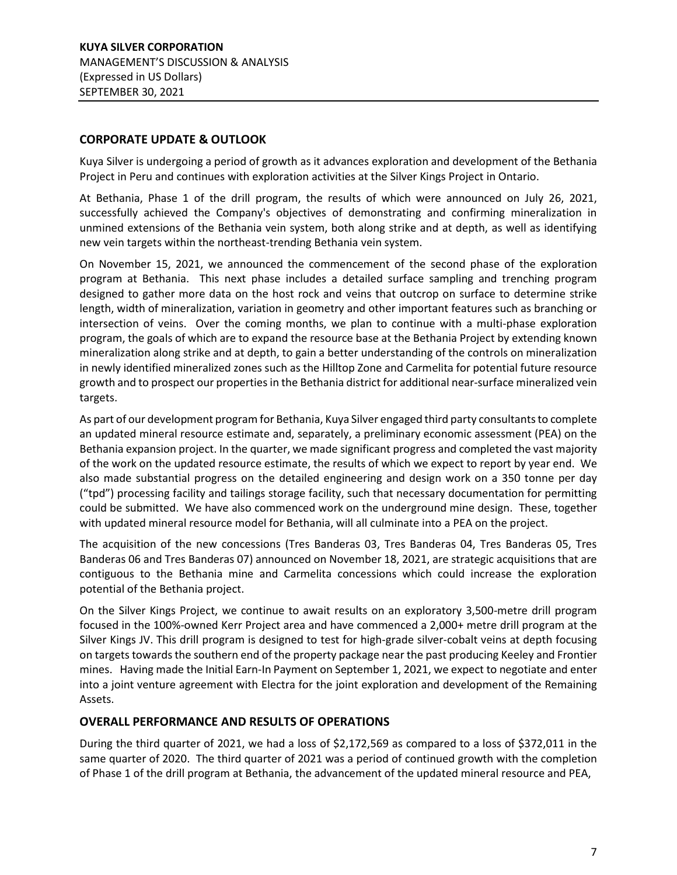# <span id="page-6-0"></span>**CORPORATE UPDATE & OUTLOOK**

Kuya Silver is undergoing a period of growth as it advances exploration and development of the Bethania Project in Peru and continues with exploration activities at the Silver Kings Project in Ontario.

At Bethania, Phase 1 of the drill program, the results of which were announced on July 26, 2021, successfully achieved the Company's objectives of demonstrating and confirming mineralization in unmined extensions of the Bethania vein system, both along strike and at depth, as well as identifying new vein targets within the northeast-trending Bethania vein system.

On November 15, 2021, we announced the commencement of the second phase of the exploration program at Bethania. This next phase includes a detailed surface sampling and trenching program designed to gather more data on the host rock and veins that outcrop on surface to determine strike length, width of mineralization, variation in geometry and other important features such as branching or intersection of veins. Over the coming months, we plan to continue with a multi-phase exploration program, the goals of which are to expand the resource base at the Bethania Project by extending known mineralization along strike and at depth, to gain a better understanding of the controls on mineralization in newly identified mineralized zones such as the Hilltop Zone and Carmelita for potential future resource growth and to prospect our properties in the Bethania district for additional near-surface mineralized vein targets.

As part of our development program for Bethania, Kuya Silver engaged third party consultants to complete an updated mineral resource estimate and, separately, a preliminary economic assessment (PEA) on the Bethania expansion project. In the quarter, we made significant progress and completed the vast majority of the work on the updated resource estimate, the results of which we expect to report by year end. We also made substantial progress on the detailed engineering and design work on a 350 tonne per day ("tpd") processing facility and tailings storage facility, such that necessary documentation for permitting could be submitted. We have also commenced work on the underground mine design. These, together with updated mineral resource model for Bethania, will all culminate into a PEA on the project.

The acquisition of the new concessions (Tres Banderas 03, Tres Banderas 04, Tres Banderas 05, Tres Banderas 06 and Tres Banderas 07) announced on November 18, 2021, are strategic acquisitions that are contiguous to the Bethania mine and Carmelita concessions which could increase the exploration potential of the Bethania project.

On the Silver Kings Project, we continue to await results on an exploratory 3,500-metre drill program focused in the 100%-owned Kerr Project area and have commenced a 2,000+ metre drill program at the Silver Kings JV. This drill program is designed to test for high-grade silver-cobalt veins at depth focusing on targets towards the southern end of the property package near the past producing Keeley and Frontier mines. Having made the Initial Earn-In Payment on September 1, 2021, we expect to negotiate and enter into a joint venture agreement with Electra for the joint exploration and development of the Remaining Assets.

# <span id="page-6-1"></span>**OVERALL PERFORMANCE AND RESULTS OF OPERATIONS**

During the third quarter of 2021, we had a loss of \$2,172,569 as compared to a loss of \$372,011 in the same quarter of 2020. The third quarter of 2021 was a period of continued growth with the completion of Phase 1 of the drill program at Bethania, the advancement of the updated mineral resource and PEA,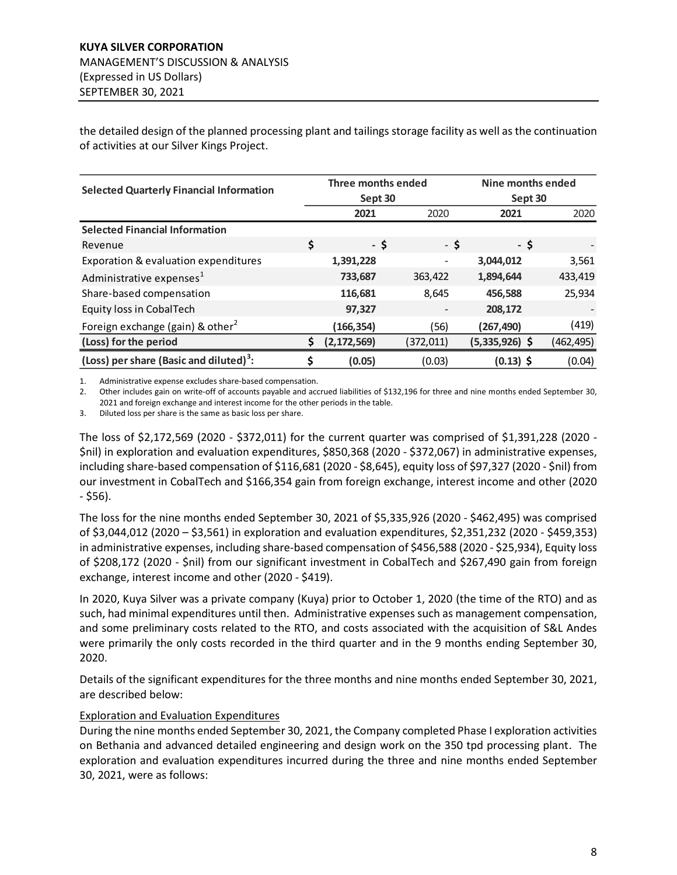the detailed design of the planned processing plant and tailings storage facility as well as the continuation of activities at our Silver Kings Project.

| <b>Selected Quarterly Financial Information</b>     | Three months ended  | Nine months ended |                |           |
|-----------------------------------------------------|---------------------|-------------------|----------------|-----------|
|                                                     | Sept 30             |                   | Sept 30        |           |
|                                                     | 2021                | 2020              | 2021           | 2020      |
| <b>Selected Financial Information</b>               |                     |                   |                |           |
| Revenue                                             | \$<br>- \$          | - \$              | - \$           |           |
| Exporation & evaluation expenditures                | 1,391,228           |                   | 3,044,012      | 3,561     |
| Administrative expenses <sup>1</sup>                | 733,687             | 363,422           | 1,894,644      | 433,419   |
| Share-based compensation                            | 116,681             | 8,645             | 456,588        | 25,934    |
| Equity loss in CobalTech                            | 97,327              |                   | 208,172        |           |
| Foreign exchange (gain) & other <sup>2</sup>        | (166, 354)          | (56)              | (267, 490)     | (419)     |
| (Loss) for the period                               | \$<br>(2, 172, 569) | (372,011)         | (5,335,926) \$ | (462,495) |
| (Loss) per share (Basic and diluted) <sup>3</sup> : | (0.05)              | (0.03)            | $(0.13)$ \$    | (0.04)    |

1. Administrative expense excludes share-based compensation.

2. Other includes gain on write-off of accounts payable and accrued liabilities of \$132,196 for three and nine months ended September 30, 2021 and foreign exchange and interest income for the other periods in the table.

3. Diluted loss per share is the same as basic loss per share.

The loss of \$2,172,569 (2020 - \$372,011) for the current quarter was comprised of \$1,391,228 (2020 - \$nil) in exploration and evaluation expenditures, \$850,368 (2020 - \$372,067) in administrative expenses, including share-based compensation of \$116,681 (2020 - \$8,645), equity loss of \$97,327 (2020 - \$nil) from our investment in CobalTech and \$166,354 gain from foreign exchange, interest income and other (2020 - \$56).

The loss for the nine months ended September 30, 2021 of \$5,335,926 (2020 - \$462,495) was comprised of \$3,044,012 (2020 – \$3,561) in exploration and evaluation expenditures, \$2,351,232 (2020 - \$459,353) in administrative expenses, including share-based compensation of \$456,588 (2020 - \$25,934), Equity loss of \$208,172 (2020 - \$nil) from our significant investment in CobalTech and \$267,490 gain from foreign exchange, interest income and other (2020 - \$419).

In 2020, Kuya Silver was a private company (Kuya) prior to October 1, 2020 (the time of the RTO) and as such, had minimal expenditures until then. Administrative expenses such as management compensation, and some preliminary costs related to the RTO, and costs associated with the acquisition of S&L Andes were primarily the only costs recorded in the third quarter and in the 9 months ending September 30, 2020.

Details of the significant expenditures for the three months and nine months ended September 30, 2021, are described below:

## Exploration and Evaluation Expenditures

During the nine months ended September 30, 2021, the Company completed Phase I exploration activities on Bethania and advanced detailed engineering and design work on the 350 tpd processing plant. The exploration and evaluation expenditures incurred during the three and nine months ended September 30, 2021, were as follows: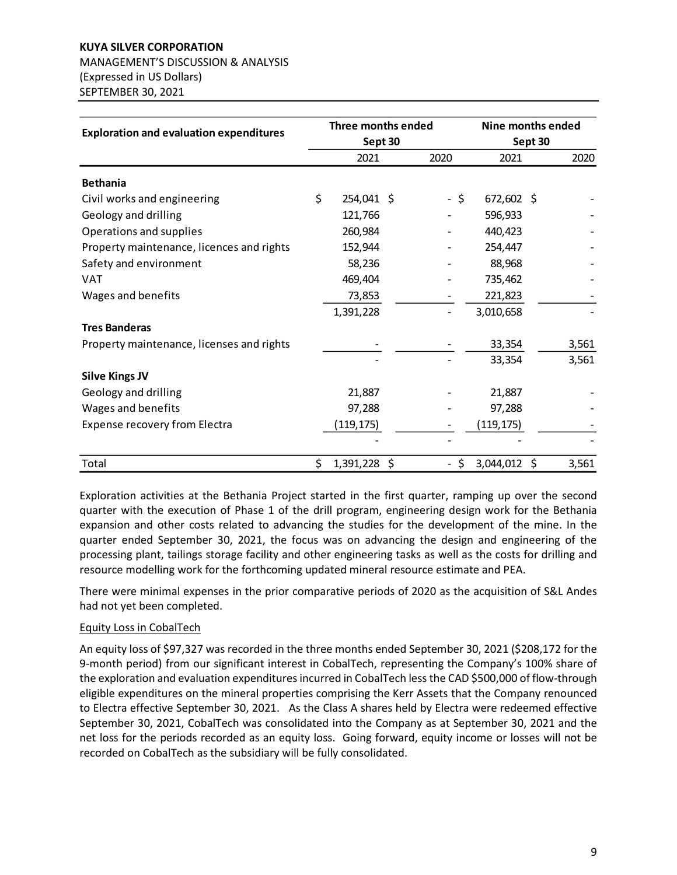# **KUYA SILVER CORPORATION** MANAGEMENT'S DISCUSSION & ANALYSIS (Expressed in US Dollars) SEPTEMBER 30, 2021

|                                                | Three months ended   |  | Nine months ended<br>Sept 30   |            |    |       |
|------------------------------------------------|----------------------|--|--------------------------------|------------|----|-------|
| <b>Exploration and evaluation expenditures</b> | Sept 30              |  |                                |            |    |       |
|                                                | 2021                 |  | 2020                           | 2021       |    | 2020  |
| <b>Bethania</b>                                |                      |  |                                |            |    |       |
| Civil works and engineering                    | \$<br>254,041 \$     |  | - \$                           | 672,602 \$ |    |       |
| Geology and drilling                           | 121,766              |  |                                | 596,933    |    |       |
| Operations and supplies                        | 260,984              |  |                                | 440,423    |    |       |
| Property maintenance, licences and rights      | 152,944              |  |                                | 254,447    |    |       |
| Safety and environment                         | 58,236               |  |                                | 88,968     |    |       |
| VAT                                            | 469,404              |  |                                | 735,462    |    |       |
| Wages and benefits                             | 73,853               |  |                                | 221,823    |    |       |
|                                                | 1,391,228            |  |                                | 3,010,658  |    |       |
| <b>Tres Banderas</b>                           |                      |  |                                |            |    |       |
| Property maintenance, licenses and rights      |                      |  |                                | 33,354     |    | 3,561 |
|                                                |                      |  |                                | 33,354     |    | 3,561 |
| <b>Silve Kings JV</b>                          |                      |  |                                |            |    |       |
| Geology and drilling                           | 21,887               |  |                                | 21,887     |    |       |
| Wages and benefits                             | 97,288               |  |                                | 97,288     |    |       |
| Expense recovery from Electra                  | (119, 175)           |  |                                | (119, 175) |    |       |
|                                                |                      |  |                                |            |    |       |
| Total                                          | \$<br>$1,391,228$ \$ |  | \$<br>$\overline{\phantom{a}}$ | 3,044,012  | \$ | 3,561 |

Exploration activities at the Bethania Project started in the first quarter, ramping up over the second quarter with the execution of Phase 1 of the drill program, engineering design work for the Bethania expansion and other costs related to advancing the studies for the development of the mine. In the quarter ended September 30, 2021, the focus was on advancing the design and engineering of the processing plant, tailings storage facility and other engineering tasks as well as the costs for drilling and resource modelling work for the forthcoming updated mineral resource estimate and PEA.

There were minimal expenses in the prior comparative periods of 2020 as the acquisition of S&L Andes had not yet been completed.

## Equity Loss in CobalTech

An equity loss of \$97,327 was recorded in the three months ended September 30, 2021 (\$208,172 for the 9-month period) from our significant interest in CobalTech, representing the Company's 100% share of the exploration and evaluation expenditures incurred in CobalTech less the CAD \$500,000 of flow-through eligible expenditures on the mineral properties comprising the Kerr Assets that the Company renounced to Electra effective September 30, 2021. As the Class A shares held by Electra were redeemed effective September 30, 2021, CobalTech was consolidated into the Company as at September 30, 2021 and the net loss for the periods recorded as an equity loss. Going forward, equity income or losses will not be recorded on CobalTech as the subsidiary will be fully consolidated.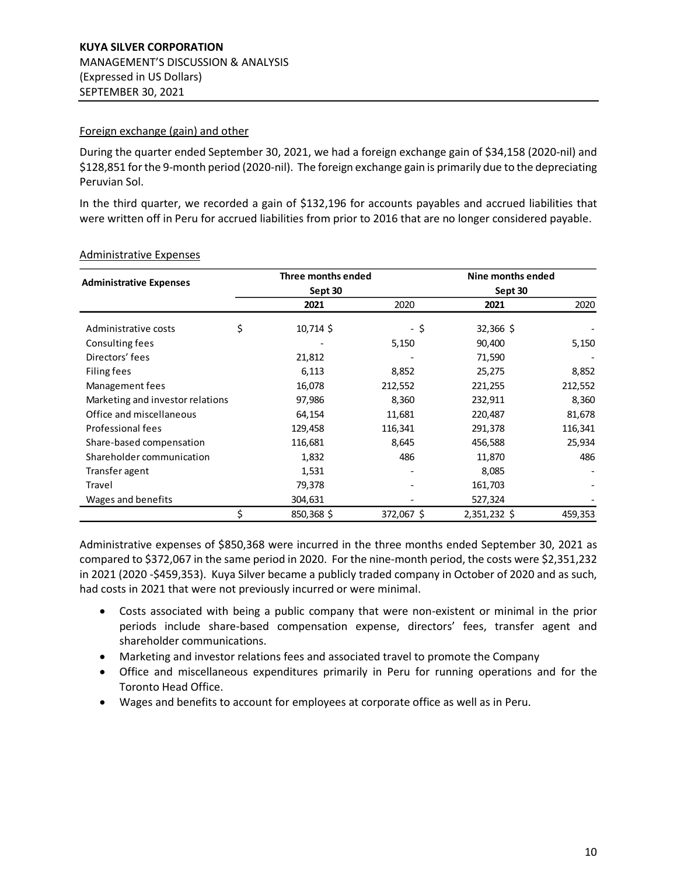### Foreign exchange (gain) and other

During the quarter ended September 30, 2021, we had a foreign exchange gain of \$34,158 (2020-nil) and \$128,851 for the 9-month period (2020-nil). The foreign exchange gain is primarily due to the depreciating Peruvian Sol.

In the third quarter, we recorded a gain of \$132,196 for accounts payables and accrued liabilities that were written off in Peru for accrued liabilities from prior to 2016 that are no longer considered payable.

|                                  |    | Three months ended | Nine months ended |              |         |  |
|----------------------------------|----|--------------------|-------------------|--------------|---------|--|
| <b>Administrative Expenses</b>   |    | Sept 30            |                   | Sept 30      |         |  |
|                                  |    | 2021               | 2020              | 2021         | 2020    |  |
| Administrative costs             | \$ | 10,714 \$          | - \$              | 32,366 \$    |         |  |
| Consulting fees                  |    |                    | 5,150             | 90,400       | 5,150   |  |
| Directors' fees                  |    | 21,812             |                   | 71,590       |         |  |
| Filing fees                      |    | 6,113              | 8,852             | 25,275       | 8,852   |  |
| Management fees                  |    | 16,078             | 212,552           | 221,255      | 212,552 |  |
| Marketing and investor relations |    | 97,986             | 8,360             | 232,911      | 8,360   |  |
| Office and miscellaneous         |    | 64,154             | 11,681            | 220,487      | 81,678  |  |
| Professional fees                |    | 129,458            | 116,341           | 291,378      | 116,341 |  |
| Share-based compensation         |    | 116,681            | 8,645             | 456,588      | 25,934  |  |
| Shareholder communication        |    | 1,832              | 486               | 11,870       | 486     |  |
| Transfer agent                   |    | 1,531              |                   | 8,085        |         |  |
| Travel                           |    | 79,378             |                   | 161,703      |         |  |
| Wages and benefits               |    | 304,631            |                   | 527,324      |         |  |
|                                  | \$ | 850,368 \$         | 372,067 \$        | 2,351,232 \$ | 459,353 |  |

#### Administrative Expenses

Administrative expenses of \$850,368 were incurred in the three months ended September 30, 2021 as compared to \$372,067 in the same period in 2020. For the nine-month period, the costs were \$2,351,232 in 2021 (2020 -\$459,353). Kuya Silver became a publicly traded company in October of 2020 and as such, had costs in 2021 that were not previously incurred or were minimal.

- Costs associated with being a public company that were non-existent or minimal in the prior periods include share-based compensation expense, directors' fees, transfer agent and shareholder communications.
- Marketing and investor relations fees and associated travel to promote the Company
- Office and miscellaneous expenditures primarily in Peru for running operations and for the Toronto Head Office.
- Wages and benefits to account for employees at corporate office as well as in Peru.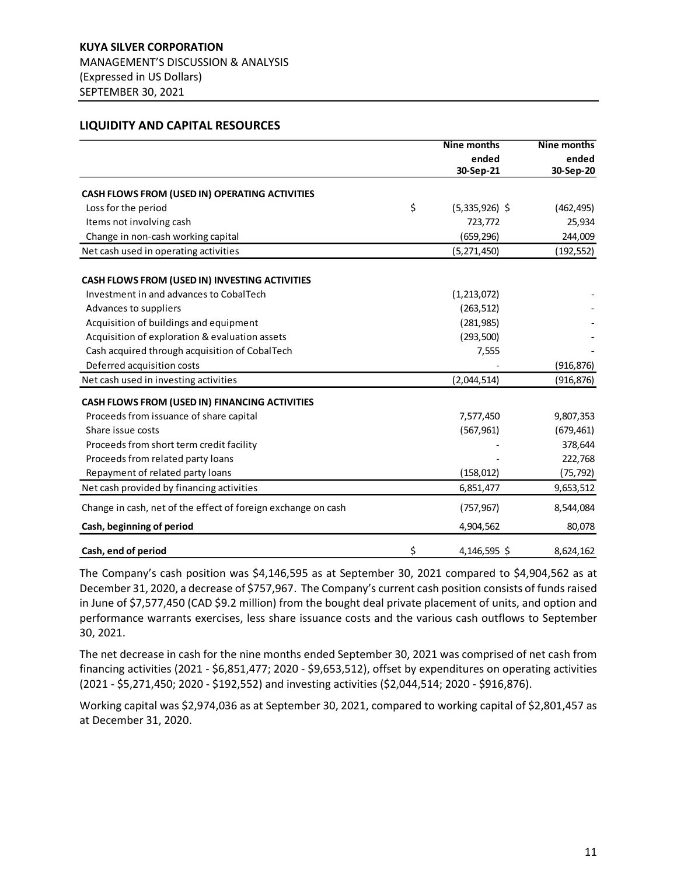#### <span id="page-10-0"></span>**LIQUIDITY AND CAPITAL RESOURCES**

|                                                               | <b>Nine months</b>     | Nine months        |
|---------------------------------------------------------------|------------------------|--------------------|
|                                                               | ended<br>30-Sep-21     | ended<br>30-Sep-20 |
|                                                               |                        |                    |
| CASH FLOWS FROM (USED IN) OPERATING ACTIVITIES                |                        |                    |
| Loss for the period                                           | \$<br>$(5,335,926)$ \$ | (462, 495)         |
| Items not involving cash                                      | 723,772                | 25,934             |
| Change in non-cash working capital                            | (659, 296)             | 244,009            |
| Net cash used in operating activities                         | (5, 271, 450)          | (192,552)          |
| CASH FLOWS FROM (USED IN) INVESTING ACTIVITIES                |                        |                    |
| Investment in and advances to CobalTech                       | (1, 213, 072)          |                    |
| Advances to suppliers                                         | (263, 512)             |                    |
| Acquisition of buildings and equipment                        | (281, 985)             |                    |
| Acquisition of exploration & evaluation assets                | (293, 500)             |                    |
| Cash acquired through acquisition of CobalTech                | 7,555                  |                    |
| Deferred acquisition costs                                    |                        | (916, 876)         |
| Net cash used in investing activities                         | (2,044,514)            | (916, 876)         |
| CASH FLOWS FROM (USED IN) FINANCING ACTIVITIES                |                        |                    |
| Proceeds from issuance of share capital                       | 7,577,450              | 9,807,353          |
| Share issue costs                                             | (567, 961)             | (679, 461)         |
| Proceeds from short term credit facility                      |                        | 378,644            |
| Proceeds from related party loans                             |                        | 222,768            |
| Repayment of related party loans                              | (158, 012)             | (75, 792)          |
| Net cash provided by financing activities                     | 6,851,477              | 9,653,512          |
| Change in cash, net of the effect of foreign exchange on cash | (757, 967)             | 8,544,084          |
| Cash, beginning of period                                     | 4,904,562              | 80,078             |
| Cash, end of period                                           | \$<br>4,146,595 \$     | 8,624,162          |

The Company's cash position was \$4,146,595 as at September 30, 2021 compared to \$4,904,562 as at December 31, 2020, a decrease of \$757,967. The Company's current cash position consists of funds raised in June of \$7,577,450 (CAD \$9.2 million) from the bought deal private placement of units, and option and performance warrants exercises, less share issuance costs and the various cash outflows to September 30, 2021.

The net decrease in cash for the nine months ended September 30, 2021 was comprised of net cash from financing activities (2021 - \$6,851,477; 2020 - \$9,653,512), offset by expenditures on operating activities (2021 - \$5,271,450; 2020 - \$192,552) and investing activities (\$2,044,514; 2020 - \$916,876).

Working capital was \$2,974,036 as at September 30, 2021, compared to working capital of \$2,801,457 as at December 31, 2020.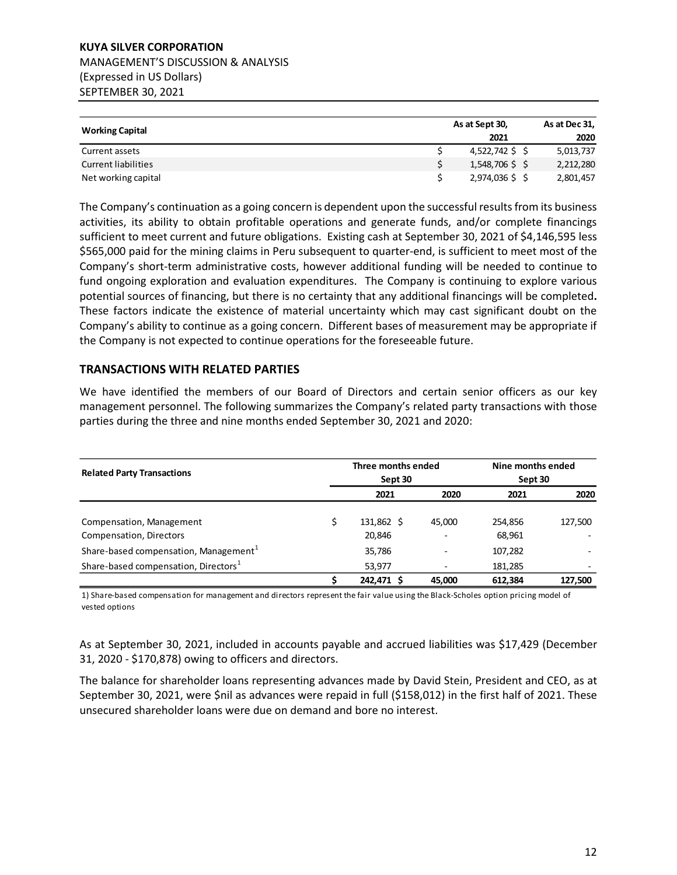# **KUYA SILVER CORPORATION** MANAGEMENT'S DISCUSSION & ANALYSIS (Expressed in US Dollars) SEPTEMBER 30, 2021

|                            | As at Sept 30,  |  |           |
|----------------------------|-----------------|--|-----------|
| <b>Working Capital</b>     | 2021            |  | 2020      |
| Current assets             | 4,522,742 \$ \$ |  | 5,013,737 |
| <b>Current liabilities</b> | 1,548,706 \$ \$ |  | 2,212,280 |
| Net working capital        | 2,974,036 \$ \$ |  | 2,801,457 |

The Company's continuation as a going concern is dependent upon the successful results from its business activities, its ability to obtain profitable operations and generate funds, and/or complete financings sufficient to meet current and future obligations. Existing cash at September 30, 2021 of \$4,146,595 less \$565,000 paid for the mining claims in Peru subsequent to quarter-end, is sufficient to meet most of the Company's short-term administrative costs, however additional funding will be needed to continue to fund ongoing exploration and evaluation expenditures. The Company is continuing to explore various potential sources of financing, but there is no certainty that any additional financings will be completed**.**  These factors indicate the existence of material uncertainty which may cast significant doubt on the Company's ability to continue as a going concern. Different bases of measurement may be appropriate if the Company is not expected to continue operations for the foreseeable future.

# <span id="page-11-0"></span>**TRANSACTIONS WITH RELATED PARTIES**

We have identified the members of our Board of Directors and certain senior officers as our key management personnel. The following summarizes the Company's related party transactions with those parties during the three and nine months ended September 30, 2021 and 2020:

| <b>Related Party Transactions</b>                 | Three months ended<br>Sept 30 |            |        | Nine months ended<br>Sept 30 |         |
|---------------------------------------------------|-------------------------------|------------|--------|------------------------------|---------|
|                                                   |                               | 2021       | 2020   | 2021                         | 2020    |
| Compensation, Management                          |                               | 131,862 \$ | 45.000 | 254,856                      | 127,500 |
| Compensation, Directors                           |                               | 20,846     |        | 68,961                       |         |
| Share-based compensation, Management <sup>1</sup> |                               | 35,786     |        | 107,282                      |         |
| Share-based compensation, Directors <sup>1</sup>  |                               | 53,977     |        | 181,285                      |         |
|                                                   |                               | 242.471 S  | 45.000 | 612.384                      | 127,500 |

1) Share-based compensation for management and directors represent the fair value using the Black-Scholes option pricing model of vested options

As at September 30, 2021, included in accounts payable and accrued liabilities was \$17,429 (December 31, 2020 - \$170,878) owing to officers and directors.

The balance for shareholder loans representing advances made by David Stein, President and CEO, as at September 30, 2021, were \$nil as advances were repaid in full (\$158,012) in the first half of 2021. These unsecured shareholder loans were due on demand and bore no interest.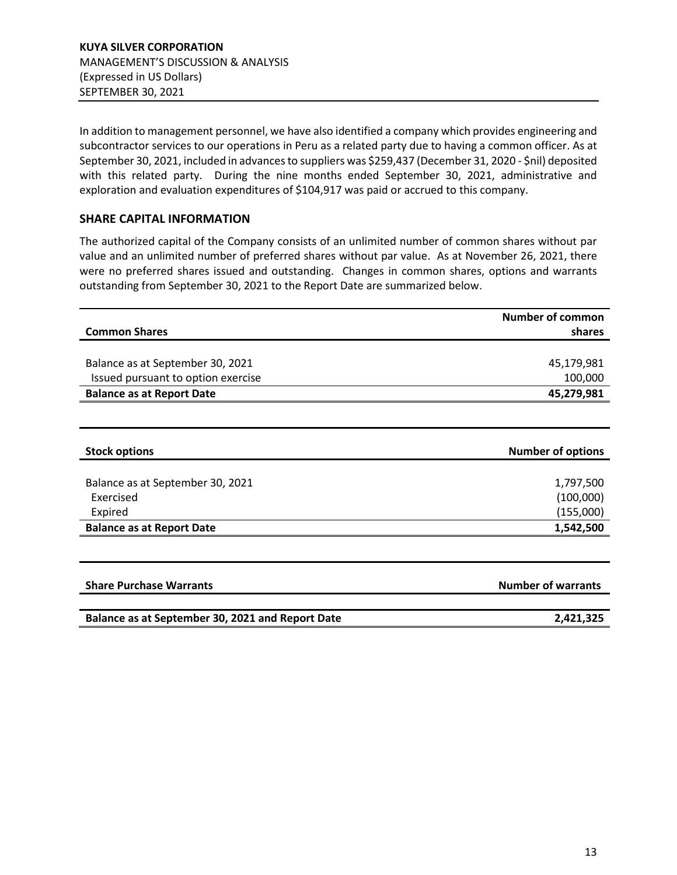In addition to management personnel, we have also identified a company which provides engineering and subcontractor services to our operations in Peru as a related party due to having a common officer. As at September 30, 2021, included in advances to suppliers was \$259,437 (December 31, 2020 - \$nil) deposited with this related party. During the nine months ended September 30, 2021, administrative and exploration and evaluation expenditures of \$104,917 was paid or accrued to this company.

# **SHARE CAPITAL INFORMATION**

The authorized capital of the Company consists of an unlimited number of common shares without par value and an unlimited number of preferred shares without par value. As at November 26, 2021, there were no preferred shares issued and outstanding. Changes in common shares, options and warrants outstanding from September 30, 2021 to the Report Date are summarized below.

|                                                  | <b>Number of common</b>   |
|--------------------------------------------------|---------------------------|
| <b>Common Shares</b>                             | shares                    |
|                                                  |                           |
| Balance as at September 30, 2021                 | 45,179,981                |
| Issued pursuant to option exercise               | 100,000                   |
| <b>Balance as at Report Date</b>                 | 45,279,981                |
|                                                  |                           |
|                                                  |                           |
| <b>Stock options</b>                             | <b>Number of options</b>  |
|                                                  |                           |
| Balance as at September 30, 2021<br>Exercised    | 1,797,500                 |
|                                                  | (100,000)                 |
| Expired                                          | (155,000)                 |
| <b>Balance as at Report Date</b>                 | 1,542,500                 |
|                                                  |                           |
| <b>Share Purchase Warrants</b>                   | <b>Number of warrants</b> |
|                                                  |                           |
| Balance as at September 30, 2021 and Report Date | 2,421,325                 |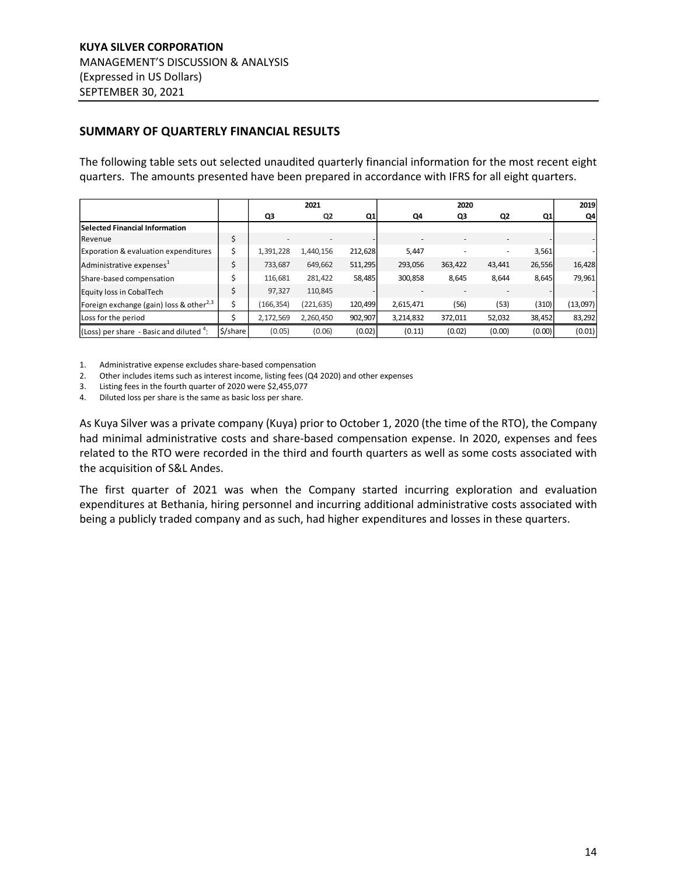# <span id="page-13-0"></span>**SUMMARY OF QUARTERLY FINANCIAL RESULTS**

The following table sets out selected unaudited quarterly financial information for the most recent eight quarters. The amounts presented have been prepared in accordance with IFRS for all eight quarters.

|                                                     |          |            | 2021       |         |                          | 2020    |        |        | 2019     |
|-----------------------------------------------------|----------|------------|------------|---------|--------------------------|---------|--------|--------|----------|
|                                                     |          | Q3         | Q2         | Q1      | Q4                       | Q3      | Q2     | Q1     | Q4       |
| Selected Financial Information                      |          |            |            |         |                          |         |        |        |          |
| Revenue                                             | \$       |            |            |         | $\overline{\phantom{a}}$ |         |        |        |          |
| Exporation & evaluation expenditures                | \$       | 1,391,228  | 1,440,156  | 212,628 | 5,447                    |         | ٠      | 3,561  |          |
| Administrative expenses <sup>1</sup>                |          | 733,687    | 649,662    | 511,295 | 293,056                  | 363,422 | 43,441 | 26,556 | 16,428   |
| Share-based compensation                            | Ś        | 116,681    | 281,422    | 58,485  | 300,858                  | 8,645   | 8,644  | 8,645  | 79,961   |
| Equity loss in CobalTech                            | \$       | 97,327     | 110,845    |         |                          |         |        |        |          |
| Foreign exchange (gain) loss & other <sup>2,3</sup> | \$       | (166, 354) | (221, 635) | 120,499 | 2,615,471                | (56)    | (53)   | (310)  | (13,097) |
| Loss for the period                                 |          | 2,172,569  | 2,260,450  | 902,907 | 3,214,832                | 372,011 | 52,032 | 38,452 | 83,292   |
| (Loss) per share - Basic and diluted $4$ :          | \$/share | (0.05)     | (0.06)     | (0.02)  | (0.11)                   | (0.02)  | (0.00) | (0.00) | (0.01)   |

1. Administrative expense excludes share-based compensation

2. Other includes items such as interest income, listing fees (Q4 2020) and other expenses

3. Listing fees in the fourth quarter of 2020 were \$2,455,077

4. Diluted loss per share is the same as basic loss per share.

As Kuya Silver was a private company (Kuya) prior to October 1, 2020 (the time of the RTO), the Company had minimal administrative costs and share-based compensation expense. In 2020, expenses and fees related to the RTO were recorded in the third and fourth quarters as well as some costs associated with the acquisition of S&L Andes.

The first quarter of 2021 was when the Company started incurring exploration and evaluation expenditures at Bethania, hiring personnel and incurring additional administrative costs associated with being a publicly traded company and as such, had higher expenditures and losses in these quarters.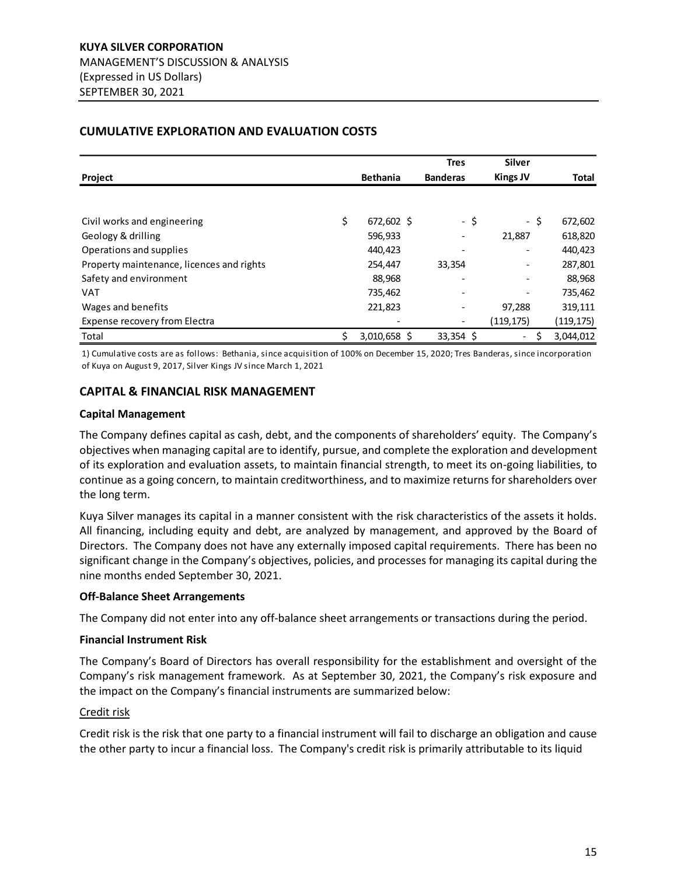# <span id="page-14-0"></span>**CUMULATIVE EXPLORATION AND EVALUATION COSTS**

|                                           |                    | <b>Tres</b>              | <b>Silver</b>   |              |
|-------------------------------------------|--------------------|--------------------------|-----------------|--------------|
| Project                                   | <b>Bethania</b>    | <b>Banderas</b>          | <b>Kings JV</b> | <b>Total</b> |
|                                           |                    |                          |                 |              |
| Civil works and engineering               | \$<br>672,602 \$   | - \$                     | $-5$            | 672,602      |
| Geology & drilling                        | 596,933            |                          | 21,887          | 618,820      |
| Operations and supplies                   | 440,423            |                          | -               | 440,423      |
| Property maintenance, licences and rights | 254,447            | 33,354                   | -               | 287,801      |
| Safety and environment                    | 88,968             |                          | -               | 88,968       |
| <b>VAT</b>                                | 735,462            | $\overline{\phantom{0}}$ | -               | 735,462      |
| Wages and benefits                        | 221,823            | $\overline{a}$           | 97,288          | 319,111      |
| Expense recovery from Electra             |                    |                          | (119, 175)      | (119, 175)   |
| Total                                     | \$<br>3,010,658 \$ | $33,354$ \$              | \$<br>$ \,$     | 3,044,012    |

1) Cumulative costs are as follows: Bethania, since acquisition of 100% on December 15, 2020; Tres Banderas, since incorporation of Kuya on August 9, 2017, Silver Kings JV since March 1, 2021

# <span id="page-14-1"></span>**CAPITAL & FINANCIAL RISK MANAGEMENT**

#### **Capital Management**

The Company defines capital as cash, debt, and the components of shareholders' equity. The Company's objectives when managing capital are to identify, pursue, and complete the exploration and development of its exploration and evaluation assets, to maintain financial strength, to meet its on-going liabilities, to continue as a going concern, to maintain creditworthiness, and to maximize returns for shareholders over the long term.

Kuya Silver manages its capital in a manner consistent with the risk characteristics of the assets it holds. All financing, including equity and debt, are analyzed by management, and approved by the Board of Directors. The Company does not have any externally imposed capital requirements. There has been no significant change in the Company's objectives, policies, and processes for managing its capital during the nine months ended September 30, 2021.

#### **Off-Balance Sheet Arrangements**

The Company did not enter into any off-balance sheet arrangements or transactions during the period.

## **Financial Instrument Risk**

The Company's Board of Directors has overall responsibility for the establishment and oversight of the Company's risk management framework. As at September 30, 2021, the Company's risk exposure and the impact on the Company's financial instruments are summarized below:

#### Credit risk

Credit risk is the risk that one party to a financial instrument will fail to discharge an obligation and cause the other party to incur a financial loss. The Company's credit risk is primarily attributable to its liquid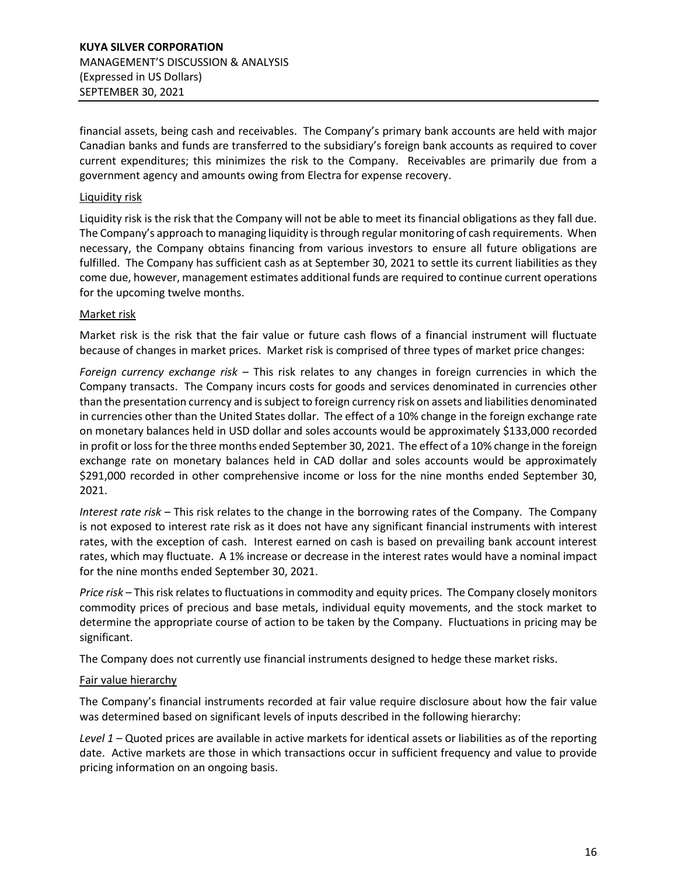financial assets, being cash and receivables. The Company's primary bank accounts are held with major Canadian banks and funds are transferred to the subsidiary's foreign bank accounts as required to cover current expenditures; this minimizes the risk to the Company. Receivables are primarily due from a government agency and amounts owing from Electra for expense recovery.

## Liquidity risk

Liquidity risk is the risk that the Company will not be able to meet its financial obligations as they fall due. The Company's approach to managing liquidity is through regular monitoring of cash requirements. When necessary, the Company obtains financing from various investors to ensure all future obligations are fulfilled. The Company has sufficient cash as at September 30, 2021 to settle its current liabilities as they come due, however, management estimates additional funds are required to continue current operations for the upcoming twelve months.

## Market risk

Market risk is the risk that the fair value or future cash flows of a financial instrument will fluctuate because of changes in market prices. Market risk is comprised of three types of market price changes:

*Foreign currency exchange risk* – This risk relates to any changes in foreign currencies in which the Company transacts. The Company incurs costs for goods and services denominated in currencies other than the presentation currency and is subject to foreign currency risk on assets and liabilities denominated in currencies other than the United States dollar. The effect of a 10% change in the foreign exchange rate on monetary balances held in USD dollar and soles accounts would be approximately \$133,000 recorded in profit or loss for the three months ended September 30, 2021. The effect of a 10% change in the foreign exchange rate on monetary balances held in CAD dollar and soles accounts would be approximately \$291,000 recorded in other comprehensive income or loss for the nine months ended September 30, 2021.

*Interest rate risk* – This risk relates to the change in the borrowing rates of the Company. The Company is not exposed to interest rate risk as it does not have any significant financial instruments with interest rates, with the exception of cash. Interest earned on cash is based on prevailing bank account interest rates, which may fluctuate. A 1% increase or decrease in the interest rates would have a nominal impact for the nine months ended September 30, 2021.

*Price risk* – This risk relates to fluctuations in commodity and equity prices. The Company closely monitors commodity prices of precious and base metals, individual equity movements, and the stock market to determine the appropriate course of action to be taken by the Company. Fluctuations in pricing may be significant.

The Company does not currently use financial instruments designed to hedge these market risks.

# Fair value hierarchy

The Company's financial instruments recorded at fair value require disclosure about how the fair value was determined based on significant levels of inputs described in the following hierarchy:

*Level 1* – Quoted prices are available in active markets for identical assets or liabilities as of the reporting date. Active markets are those in which transactions occur in sufficient frequency and value to provide pricing information on an ongoing basis.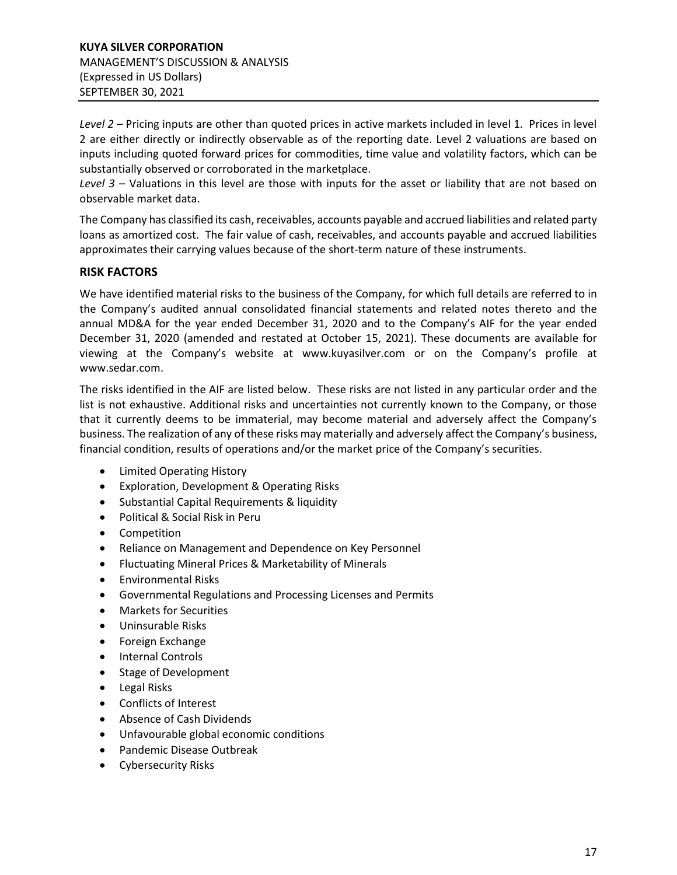*Level 2* – Pricing inputs are other than quoted prices in active markets included in level 1. Prices in level 2 are either directly or indirectly observable as of the reporting date. Level 2 valuations are based on inputs including quoted forward prices for commodities, time value and volatility factors, which can be substantially observed or corroborated in the marketplace.

*Level 3* – Valuations in this level are those with inputs for the asset or liability that are not based on observable market data.

The Company has classified its cash, receivables, accounts payable and accrued liabilities and related party loans as amortized cost. The fair value of cash, receivables, and accounts payable and accrued liabilities approximates their carrying values because of the short-term nature of these instruments.

# <span id="page-16-0"></span>**RISK FACTORS**

We have identified material risks to the business of the Company, for which full details are referred to in the Company's audited annual consolidated financial statements and related notes thereto and the annual MD&A for the year ended December 31, 2020 and to the Company's AIF for the year ended December 31, 2020 (amended and restated at October 15, 2021). These documents are available for viewing at the Company's website at www.kuyasilver.com or on the Company's profile at [www.sedar.com.](http://www.sedar.com/)

The risks identified in the AIF are listed below. These risks are not listed in any particular order and the list is not exhaustive. Additional risks and uncertainties not currently known to the Company, or those that it currently deems to be immaterial, may become material and adversely affect the Company's business. The realization of any of these risks may materially and adversely affect the Company's business, financial condition, results of operations and/or the market price of the Company's securities.

- Limited Operating History
- Exploration, Development & Operating Risks
- Substantial Capital Requirements & liquidity
- Political & Social Risk in Peru
- Competition
- Reliance on Management and Dependence on Key Personnel
- Fluctuating Mineral Prices & Marketability of Minerals
- Environmental Risks
- Governmental Regulations and Processing Licenses and Permits
- Markets for Securities
- Uninsurable Risks
- Foreign Exchange
- Internal Controls
- Stage of Development
- Legal Risks
- Conflicts of Interest
- Absence of Cash Dividends
- Unfavourable global economic conditions
- Pandemic Disease Outbreak
- Cybersecurity Risks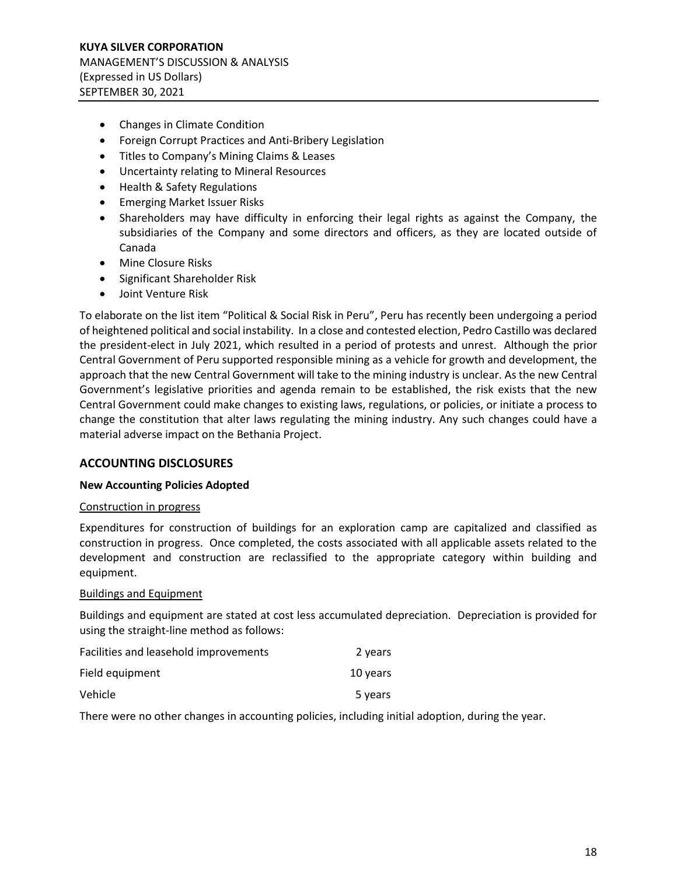- Changes in Climate Condition
- Foreign Corrupt Practices and Anti-Bribery Legislation
- Titles to Company's Mining Claims & Leases
- Uncertainty relating to Mineral Resources
- Health & Safety Regulations
- Emerging Market Issuer Risks
- Shareholders may have difficulty in enforcing their legal rights as against the Company, the subsidiaries of the Company and some directors and officers, as they are located outside of Canada
- Mine Closure Risks
- Significant Shareholder Risk
- Joint Venture Risk

To elaborate on the list item "Political & Social Risk in Peru", Peru has recently been undergoing a period of heightened political and social instability. In a close and contested election, Pedro Castillo was declared the president-elect in July 2021, which resulted in a period of protests and unrest. Although the prior Central Government of Peru supported responsible mining as a vehicle for growth and development, the approach that the new Central Government will take to the mining industry is unclear. As the new Central Government's legislative priorities and agenda remain to be established, the risk exists that the new Central Government could make changes to existing laws, regulations, or policies, or initiate a process to change the constitution that alter laws regulating the mining industry. Any such changes could have a material adverse impact on the Bethania Project.

## <span id="page-17-0"></span>**ACCOUNTING DISCLOSURES**

## **New Accounting Policies Adopted**

#### Construction in progress

Expenditures for construction of buildings for an exploration camp are capitalized and classified as construction in progress. Once completed, the costs associated with all applicable assets related to the development and construction are reclassified to the appropriate category within building and equipment.

#### Buildings and Equipment

Buildings and equipment are stated at cost less accumulated depreciation. Depreciation is provided for using the straight-line method as follows:

| Facilities and leasehold improvements | 2 years  |
|---------------------------------------|----------|
| Field equipment                       | 10 years |
| Vehicle                               | 5 years  |

There were no other changes in accounting policies, including initial adoption, during the year.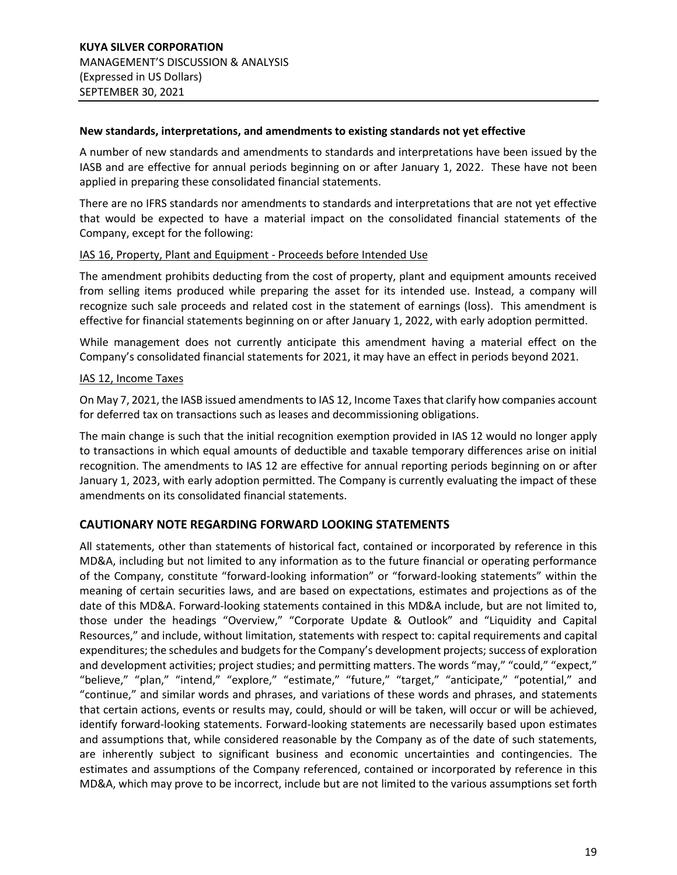#### **New standards, interpretations, and amendments to existing standards not yet effective**

A number of new standards and amendments to standards and interpretations have been issued by the IASB and are effective for annual periods beginning on or after January 1, 2022. These have not been applied in preparing these consolidated financial statements.

There are no IFRS standards nor amendments to standards and interpretations that are not yet effective that would be expected to have a material impact on the consolidated financial statements of the Company, except for the following:

## IAS 16, Property, Plant and Equipment - Proceeds before Intended Use

The amendment prohibits deducting from the cost of property, plant and equipment amounts received from selling items produced while preparing the asset for its intended use. Instead, a company will recognize such sale proceeds and related cost in the statement of earnings (loss). This amendment is effective for financial statements beginning on or after January 1, 2022, with early adoption permitted.

While management does not currently anticipate this amendment having a material effect on the Company's consolidated financial statements for 2021, it may have an effect in periods beyond 2021.

## IAS 12, Income Taxes

On May 7, 2021, the IASB issued amendments to IAS 12, Income Taxes that clarify how companies account for deferred tax on transactions such as leases and decommissioning obligations.

The main change is such that the initial recognition exemption provided in IAS 12 would no longer apply to transactions in which equal amounts of deductible and taxable temporary differences arise on initial recognition. The amendments to IAS 12 are effective for annual reporting periods beginning on or after January 1, 2023, with early adoption permitted. The Company is currently evaluating the impact of these amendments on its consolidated financial statements.

## <span id="page-18-0"></span>**CAUTIONARY NOTE REGARDING FORWARD LOOKING STATEMENTS**

All statements, other than statements of historical fact, contained or incorporated by reference in this MD&A, including but not limited to any information as to the future financial or operating performance of the Company, constitute "forward-looking information" or "forward-looking statements" within the meaning of certain securities laws, and are based on expectations, estimates and projections as of the date of this MD&A. Forward-looking statements contained in this MD&A include, but are not limited to, those under the headings "Overview," "Corporate Update & Outlook" and "Liquidity and Capital Resources," and include, without limitation, statements with respect to: capital requirements and capital expenditures; the schedules and budgets for the Company's development projects; success of exploration and development activities; project studies; and permitting matters. The words "may," "could," "expect," "believe," "plan," "intend," "explore," "estimate," "future," "target," "anticipate," "potential," and "continue," and similar words and phrases, and variations of these words and phrases, and statements that certain actions, events or results may, could, should or will be taken, will occur or will be achieved, identify forward-looking statements. Forward-looking statements are necessarily based upon estimates and assumptions that, while considered reasonable by the Company as of the date of such statements, are inherently subject to significant business and economic uncertainties and contingencies. The estimates and assumptions of the Company referenced, contained or incorporated by reference in this MD&A, which may prove to be incorrect, include but are not limited to the various assumptions set forth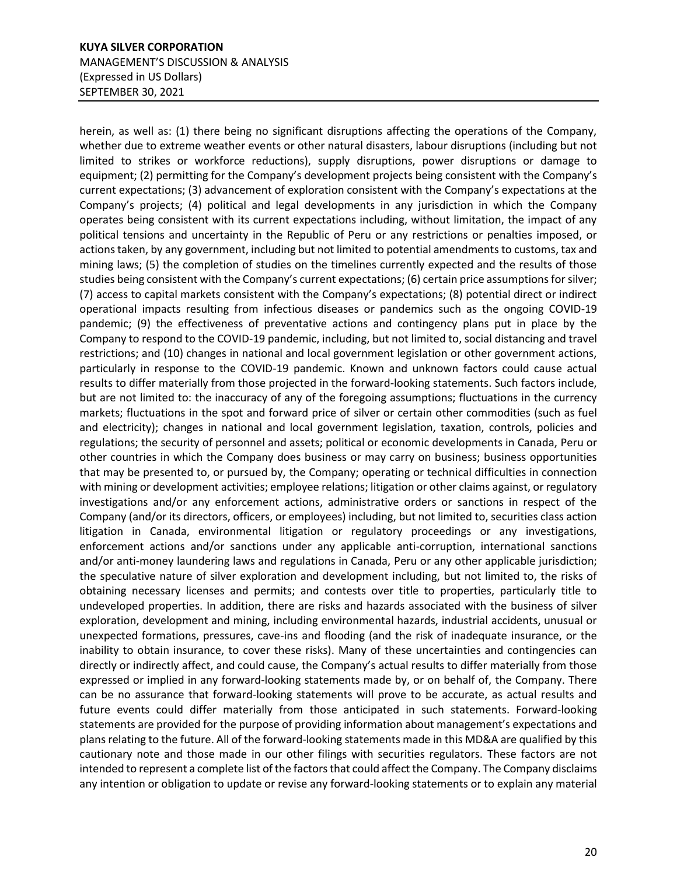# **KUYA SILVER CORPORATION** MANAGEMENT'S DISCUSSION & ANALYSIS (Expressed in US Dollars) SEPTEMBER 30, 2021

herein, as well as: (1) there being no significant disruptions affecting the operations of the Company, whether due to extreme weather events or other natural disasters, labour disruptions (including but not limited to strikes or workforce reductions), supply disruptions, power disruptions or damage to equipment; (2) permitting for the Company's development projects being consistent with the Company's current expectations; (3) advancement of exploration consistent with the Company's expectations at the Company's projects; (4) political and legal developments in any jurisdiction in which the Company operates being consistent with its current expectations including, without limitation, the impact of any political tensions and uncertainty in the Republic of Peru or any restrictions or penalties imposed, or actions taken, by any government, including but not limited to potential amendments to customs, tax and mining laws; (5) the completion of studies on the timelines currently expected and the results of those studies being consistent with the Company's current expectations; (6) certain price assumptions for silver; (7) access to capital markets consistent with the Company's expectations; (8) potential direct or indirect operational impacts resulting from infectious diseases or pandemics such as the ongoing COVID-19 pandemic; (9) the effectiveness of preventative actions and contingency plans put in place by the Company to respond to the COVID-19 pandemic, including, but not limited to, social distancing and travel restrictions; and (10) changes in national and local government legislation or other government actions, particularly in response to the COVID-19 pandemic. Known and unknown factors could cause actual results to differ materially from those projected in the forward-looking statements. Such factors include, but are not limited to: the inaccuracy of any of the foregoing assumptions; fluctuations in the currency markets; fluctuations in the spot and forward price of silver or certain other commodities (such as fuel and electricity); changes in national and local government legislation, taxation, controls, policies and regulations; the security of personnel and assets; political or economic developments in Canada, Peru or other countries in which the Company does business or may carry on business; business opportunities that may be presented to, or pursued by, the Company; operating or technical difficulties in connection with mining or development activities; employee relations; litigation or other claims against, or regulatory investigations and/or any enforcement actions, administrative orders or sanctions in respect of the Company (and/or its directors, officers, or employees) including, but not limited to, securities class action litigation in Canada, environmental litigation or regulatory proceedings or any investigations, enforcement actions and/or sanctions under any applicable anti-corruption, international sanctions and/or anti-money laundering laws and regulations in Canada, Peru or any other applicable jurisdiction; the speculative nature of silver exploration and development including, but not limited to, the risks of obtaining necessary licenses and permits; and contests over title to properties, particularly title to undeveloped properties. In addition, there are risks and hazards associated with the business of silver exploration, development and mining, including environmental hazards, industrial accidents, unusual or unexpected formations, pressures, cave-ins and flooding (and the risk of inadequate insurance, or the inability to obtain insurance, to cover these risks). Many of these uncertainties and contingencies can directly or indirectly affect, and could cause, the Company's actual results to differ materially from those expressed or implied in any forward-looking statements made by, or on behalf of, the Company. There can be no assurance that forward-looking statements will prove to be accurate, as actual results and future events could differ materially from those anticipated in such statements. Forward-looking statements are provided for the purpose of providing information about management's expectations and plans relating to the future. All of the forward-looking statements made in this MD&A are qualified by this cautionary note and those made in our other filings with securities regulators. These factors are not intended to represent a complete list of the factors that could affect the Company. The Company disclaims any intention or obligation to update or revise any forward-looking statements or to explain any material